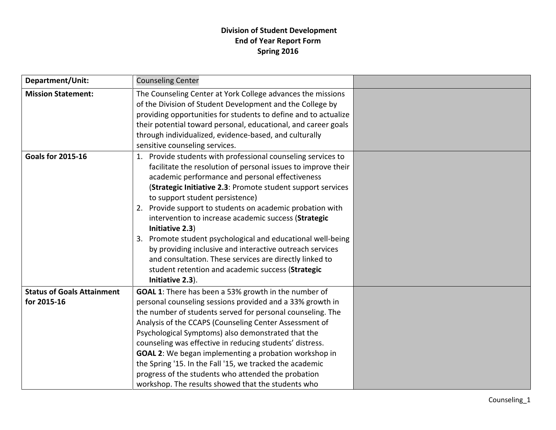## **Division of Student Development End of Year Report Form Spring 2016**

| Department/Unit:                                 | <b>Counseling Center</b>                                                                                                                                                                                                                                                                                                                                                                                                                                                                                                                                                                                                                                                                     |  |
|--------------------------------------------------|----------------------------------------------------------------------------------------------------------------------------------------------------------------------------------------------------------------------------------------------------------------------------------------------------------------------------------------------------------------------------------------------------------------------------------------------------------------------------------------------------------------------------------------------------------------------------------------------------------------------------------------------------------------------------------------------|--|
| <b>Mission Statement:</b>                        | The Counseling Center at York College advances the missions<br>of the Division of Student Development and the College by<br>providing opportunities for students to define and to actualize<br>their potential toward personal, educational, and career goals<br>through individualized, evidence-based, and culturally<br>sensitive counseling services.                                                                                                                                                                                                                                                                                                                                    |  |
| <b>Goals for 2015-16</b>                         | 1. Provide students with professional counseling services to<br>facilitate the resolution of personal issues to improve their<br>academic performance and personal effectiveness<br>(Strategic Initiative 2.3: Promote student support services<br>to support student persistence)<br>2. Provide support to students on academic probation with<br>intervention to increase academic success (Strategic<br>Initiative 2.3)<br>Promote student psychological and educational well-being<br>3.<br>by providing inclusive and interactive outreach services<br>and consultation. These services are directly linked to<br>student retention and academic success (Strategic<br>Initiative 2.3). |  |
| <b>Status of Goals Attainment</b><br>for 2015-16 | GOAL 1: There has been a 53% growth in the number of<br>personal counseling sessions provided and a 33% growth in<br>the number of students served for personal counseling. The<br>Analysis of the CCAPS (Counseling Center Assessment of<br>Psychological Symptoms) also demonstrated that the<br>counseling was effective in reducing students' distress.<br><b>GOAL 2:</b> We began implementing a probation workshop in<br>the Spring '15. In the Fall '15, we tracked the academic<br>progress of the students who attended the probation<br>workshop. The results showed that the students who                                                                                         |  |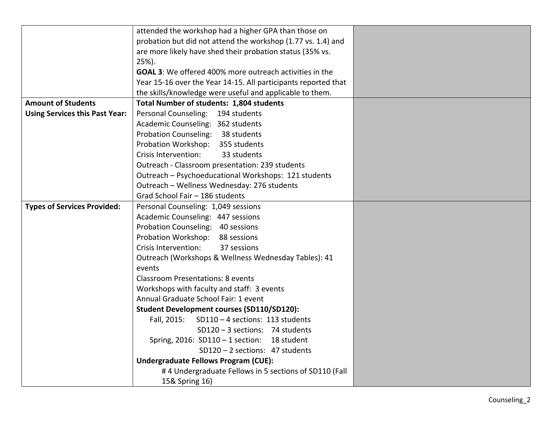|                                       | attended the workshop had a higher GPA than those on           |  |
|---------------------------------------|----------------------------------------------------------------|--|
|                                       | probation but did not attend the workshop (1.77 vs. 1.4) and   |  |
|                                       | are more likely have shed their probation status (35% vs.      |  |
|                                       | $25%$ ).                                                       |  |
|                                       | <b>GOAL 3:</b> We offered 400% more outreach activities in the |  |
|                                       | Year 15-16 over the Year 14-15. All participants reported that |  |
|                                       | the skills/knowledge were useful and applicable to them.       |  |
| <b>Amount of Students</b>             | <b>Total Number of students: 1,804 students</b>                |  |
| <b>Using Services this Past Year:</b> | Personal Counseling:<br>194 students                           |  |
|                                       | Academic Counseling: 362 students                              |  |
|                                       | Probation Counseling: 38 students                              |  |
|                                       | Probation Workshop: 355 students                               |  |
|                                       | Crisis Intervention:<br>33 students                            |  |
|                                       | Outreach - Classroom presentation: 239 students                |  |
|                                       | Outreach - Psychoeducational Workshops: 121 students           |  |
|                                       | Outreach - Wellness Wednesday: 276 students                    |  |
|                                       | Grad School Fair - 186 students                                |  |
| <b>Types of Services Provided:</b>    | Personal Counseling: 1,049 sessions                            |  |
|                                       | Academic Counseling: 447 sessions                              |  |
|                                       | Probation Counseling: 40 sessions                              |  |
|                                       | Probation Workshop: 88 sessions                                |  |
|                                       | 37 sessions<br>Crisis Intervention:                            |  |
|                                       | Outreach (Workshops & Wellness Wednesday Tables): 41           |  |
|                                       | events                                                         |  |
|                                       | <b>Classroom Presentations: 8 events</b>                       |  |
|                                       | Workshops with faculty and staff: 3 events                     |  |
|                                       | Annual Graduate School Fair: 1 event                           |  |
|                                       | <b>Student Development courses (SD110/SD120):</b>              |  |
|                                       | Fall, 2015:<br>SD110-4 sections: 113 students                  |  |
|                                       | SD120-3 sections: 74 students                                  |  |
|                                       | Spring, 2016: SD110 - 1 section: 18 student                    |  |
|                                       | SD120-2 sections: 47 students                                  |  |
|                                       | <b>Undergraduate Fellows Program (CUE):</b>                    |  |
|                                       | #4 Undergraduate Fellows in 5 sections of SD110 (Fall          |  |
|                                       | 15& Spring 16)                                                 |  |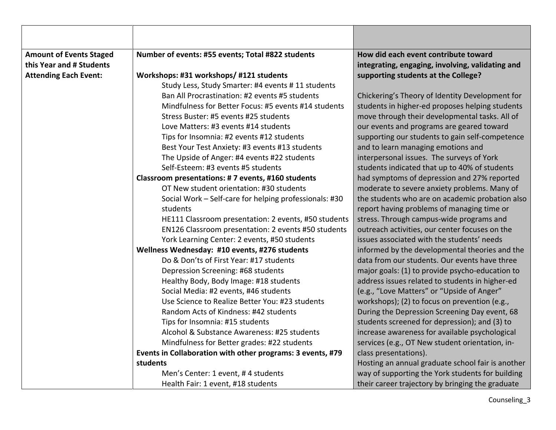| <b>Amount of Events Staged</b> | Number of events: #55 events; Total #822 students          | How did each event contribute toward              |
|--------------------------------|------------------------------------------------------------|---------------------------------------------------|
| this Year and # Students       |                                                            | integrating, engaging, involving, validating and  |
| <b>Attending Each Event:</b>   | Workshops: #31 workshops/ #121 students                    | supporting students at the College?               |
|                                | Study Less, Study Smarter: #4 events # 11 students         |                                                   |
|                                | Ban All Procrastination: #2 events #5 students             | Chickering's Theory of Identity Development for   |
|                                | Mindfulness for Better Focus: #5 events #14 students       | students in higher-ed proposes helping students   |
|                                | Stress Buster: #5 events #25 students                      | move through their developmental tasks. All of    |
|                                | Love Matters: #3 events #14 students                       | our events and programs are geared toward         |
|                                | Tips for Insomnia: #2 events #12 students                  | supporting our students to gain self-competence   |
|                                | Best Your Test Anxiety: #3 events #13 students             | and to learn managing emotions and                |
|                                | The Upside of Anger: #4 events #22 students                | interpersonal issues. The surveys of York         |
|                                | Self-Esteem: #3 events #5 students                         | students indicated that up to 40% of students     |
|                                | Classroom presentations: #7 events, #160 students          | had symptoms of depression and 27% reported       |
|                                | OT New student orientation: #30 students                   | moderate to severe anxiety problems. Many of      |
|                                | Social Work - Self-care for helping professionals: #30     | the students who are on academic probation also   |
|                                | students                                                   | report having problems of managing time or        |
|                                | HE111 Classroom presentation: 2 events, #50 students       | stress. Through campus-wide programs and          |
|                                | EN126 Classroom presentation: 2 events #50 students        | outreach activities, our center focuses on the    |
|                                | York Learning Center: 2 events, #50 students               | issues associated with the students' needs        |
|                                | Wellness Wednesday: #10 events, #276 students              | informed by the developmental theories and the    |
|                                | Do & Don'ts of First Year: #17 students                    | data from our students. Our events have three     |
|                                | Depression Screening: #68 students                         | major goals: (1) to provide psycho-education to   |
|                                | Healthy Body, Body Image: #18 students                     | address issues related to students in higher-ed   |
|                                | Social Media: #2 events, #46 students                      | (e.g., "Love Matters" or "Upside of Anger"        |
|                                | Use Science to Realize Better You: #23 students            | workshops); (2) to focus on prevention (e.g.,     |
|                                | Random Acts of Kindness: #42 students                      | During the Depression Screening Day event, 68     |
|                                | Tips for Insomnia: #15 students                            | students screened for depression); and (3) to     |
|                                | Alcohol & Substance Awareness: #25 students                | increase awareness for available psychological    |
|                                | Mindfulness for Better grades: #22 students                | services (e.g., OT New student orientation, in-   |
|                                | Events in Collaboration with other programs: 3 events, #79 | class presentations).                             |
|                                | students                                                   | Hosting an annual graduate school fair is another |
|                                | Men's Center: 1 event, #4 students                         | way of supporting the York students for building  |
|                                | Health Fair: 1 event, #18 students                         | their career trajectory by bringing the graduate  |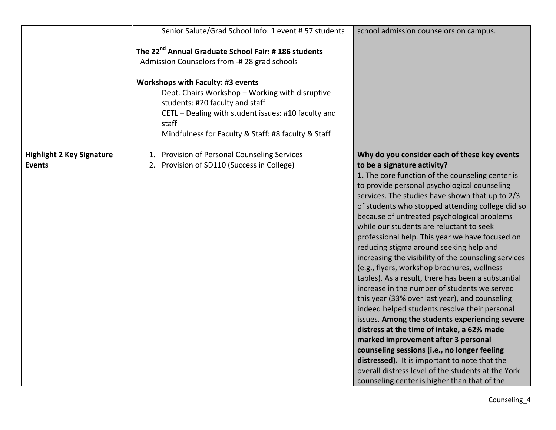|                                                   | Senior Salute/Grad School Info: 1 event # 57 students                                                                                                                                                                                                 | school admission counselors on campus.                                                                                                                                                                                                                                                                                                                                                                                                                                                                                                                                                                                                                                                                                                                                                                                                                                                                                                                                                                                                                                                                                                        |
|---------------------------------------------------|-------------------------------------------------------------------------------------------------------------------------------------------------------------------------------------------------------------------------------------------------------|-----------------------------------------------------------------------------------------------------------------------------------------------------------------------------------------------------------------------------------------------------------------------------------------------------------------------------------------------------------------------------------------------------------------------------------------------------------------------------------------------------------------------------------------------------------------------------------------------------------------------------------------------------------------------------------------------------------------------------------------------------------------------------------------------------------------------------------------------------------------------------------------------------------------------------------------------------------------------------------------------------------------------------------------------------------------------------------------------------------------------------------------------|
|                                                   | The 22 <sup>nd</sup> Annual Graduate School Fair: #186 students<br>Admission Counselors from -# 28 grad schools                                                                                                                                       |                                                                                                                                                                                                                                                                                                                                                                                                                                                                                                                                                                                                                                                                                                                                                                                                                                                                                                                                                                                                                                                                                                                                               |
|                                                   | <b>Workshops with Faculty: #3 events</b><br>Dept. Chairs Workshop - Working with disruptive<br>students: #20 faculty and staff<br>CETL - Dealing with student issues: #10 faculty and<br>staff<br>Mindfulness for Faculty & Staff: #8 faculty & Staff |                                                                                                                                                                                                                                                                                                                                                                                                                                                                                                                                                                                                                                                                                                                                                                                                                                                                                                                                                                                                                                                                                                                                               |
| <b>Highlight 2 Key Signature</b><br><b>Events</b> | 1. Provision of Personal Counseling Services<br>2. Provision of SD110 (Success in College)                                                                                                                                                            | Why do you consider each of these key events<br>to be a signature activity?<br>1. The core function of the counseling center is<br>to provide personal psychological counseling<br>services. The studies have shown that up to 2/3<br>of students who stopped attending college did so<br>because of untreated psychological problems<br>while our students are reluctant to seek<br>professional help. This year we have focused on<br>reducing stigma around seeking help and<br>increasing the visibility of the counseling services<br>(e.g., flyers, workshop brochures, wellness<br>tables). As a result, there has been a substantial<br>increase in the number of students we served<br>this year (33% over last year), and counseling<br>indeed helped students resolve their personal<br>issues. Among the students experiencing severe<br>distress at the time of intake, a 62% made<br>marked improvement after 3 personal<br>counseling sessions (i.e., no longer feeling<br>distressed). It is important to note that the<br>overall distress level of the students at the York<br>counseling center is higher than that of the |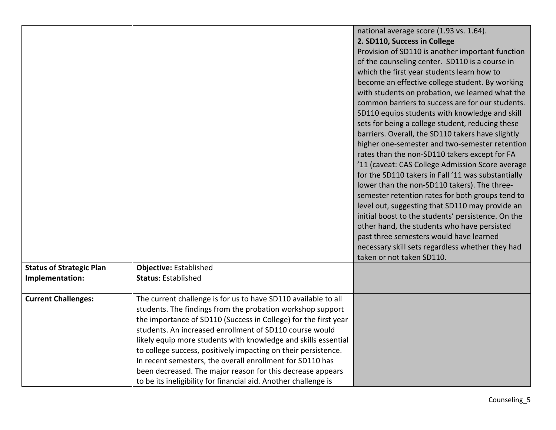|                                                    |                                                                                                                                                                                                                                                                                                                                                                                                                                                                                                                                                                                              | national average score (1.93 vs. 1.64).<br>2. SD110, Success in College<br>Provision of SD110 is another important function<br>of the counseling center. SD110 is a course in<br>which the first year students learn how to<br>become an effective college student. By working<br>with students on probation, we learned what the<br>common barriers to success are for our students.<br>SD110 equips students with knowledge and skill<br>sets for being a college student, reducing these<br>barriers. Overall, the SD110 takers have slightly<br>higher one-semester and two-semester retention<br>rates than the non-SD110 takers except for FA<br>'11 (caveat: CAS College Admission Score average<br>for the SD110 takers in Fall '11 was substantially<br>lower than the non-SD110 takers). The three-<br>semester retention rates for both groups tend to<br>level out, suggesting that SD110 may provide an<br>initial boost to the students' persistence. On the<br>other hand, the students who have persisted<br>past three semesters would have learned |
|----------------------------------------------------|----------------------------------------------------------------------------------------------------------------------------------------------------------------------------------------------------------------------------------------------------------------------------------------------------------------------------------------------------------------------------------------------------------------------------------------------------------------------------------------------------------------------------------------------------------------------------------------------|----------------------------------------------------------------------------------------------------------------------------------------------------------------------------------------------------------------------------------------------------------------------------------------------------------------------------------------------------------------------------------------------------------------------------------------------------------------------------------------------------------------------------------------------------------------------------------------------------------------------------------------------------------------------------------------------------------------------------------------------------------------------------------------------------------------------------------------------------------------------------------------------------------------------------------------------------------------------------------------------------------------------------------------------------------------------|
|                                                    |                                                                                                                                                                                                                                                                                                                                                                                                                                                                                                                                                                                              | necessary skill sets regardless whether they had                                                                                                                                                                                                                                                                                                                                                                                                                                                                                                                                                                                                                                                                                                                                                                                                                                                                                                                                                                                                                     |
|                                                    |                                                                                                                                                                                                                                                                                                                                                                                                                                                                                                                                                                                              | taken or not taken SD110.                                                                                                                                                                                                                                                                                                                                                                                                                                                                                                                                                                                                                                                                                                                                                                                                                                                                                                                                                                                                                                            |
| <b>Status of Strategic Plan</b><br>Implementation: | <b>Objective: Established</b><br><b>Status: Established</b>                                                                                                                                                                                                                                                                                                                                                                                                                                                                                                                                  |                                                                                                                                                                                                                                                                                                                                                                                                                                                                                                                                                                                                                                                                                                                                                                                                                                                                                                                                                                                                                                                                      |
|                                                    |                                                                                                                                                                                                                                                                                                                                                                                                                                                                                                                                                                                              |                                                                                                                                                                                                                                                                                                                                                                                                                                                                                                                                                                                                                                                                                                                                                                                                                                                                                                                                                                                                                                                                      |
| <b>Current Challenges:</b>                         | The current challenge is for us to have SD110 available to all<br>students. The findings from the probation workshop support<br>the importance of SD110 (Success in College) for the first year<br>students. An increased enrollment of SD110 course would<br>likely equip more students with knowledge and skills essential<br>to college success, positively impacting on their persistence.<br>In recent semesters, the overall enrollment for SD110 has<br>been decreased. The major reason for this decrease appears<br>to be its ineligibility for financial aid. Another challenge is |                                                                                                                                                                                                                                                                                                                                                                                                                                                                                                                                                                                                                                                                                                                                                                                                                                                                                                                                                                                                                                                                      |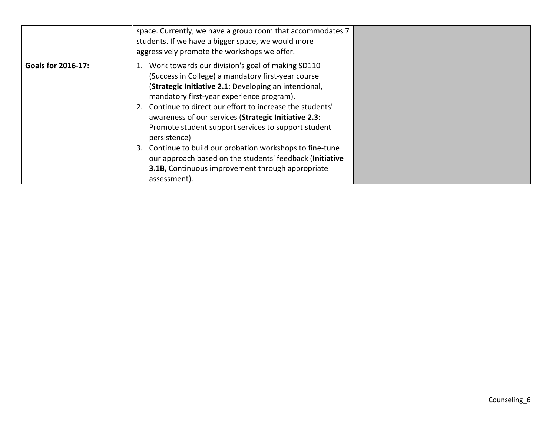|                           | space. Currently, we have a group room that accommodates 7<br>students. If we have a bigger space, we would more<br>aggressively promote the workshops we offer.                                                                                                                                                                                                                                                                                                                                                                                                                                             |  |
|---------------------------|--------------------------------------------------------------------------------------------------------------------------------------------------------------------------------------------------------------------------------------------------------------------------------------------------------------------------------------------------------------------------------------------------------------------------------------------------------------------------------------------------------------------------------------------------------------------------------------------------------------|--|
| <b>Goals for 2016-17:</b> | 1. Work towards our division's goal of making SD110<br>(Success in College) a mandatory first-year course<br>(Strategic Initiative 2.1: Developing an intentional,<br>mandatory first-year experience program).<br>2. Continue to direct our effort to increase the students'<br>awareness of our services (Strategic Initiative 2.3:<br>Promote student support services to support student<br>persistence)<br>Continue to build our probation workshops to fine-tune<br>3.<br>our approach based on the students' feedback (Initiative<br>3.1B, Continuous improvement through appropriate<br>assessment). |  |